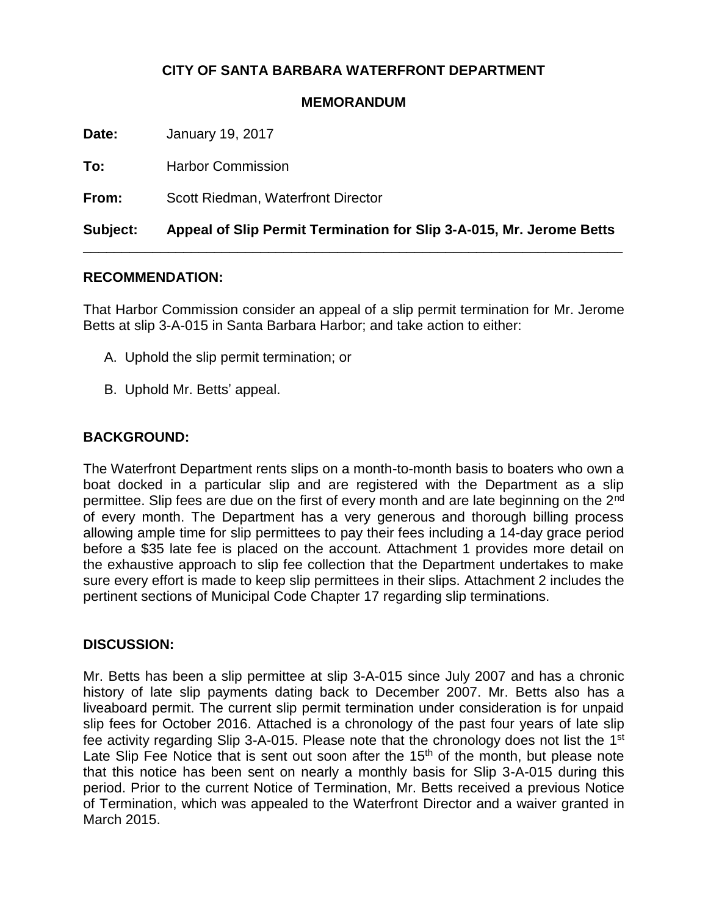#### **CITY OF SANTA BARBARA WATERFRONT DEPARTMENT**

#### **MEMORANDUM**

**Date:** January 19, 2017

| Subject: | Appeal of Slip Permit Termination for Slip 3-A-015, Mr. Jerome Betts |
|----------|----------------------------------------------------------------------|
| From:    | Scott Riedman, Waterfront Director                                   |
| To:      | <b>Harbor Commission</b>                                             |

#### **RECOMMENDATION:**

That Harbor Commission consider an appeal of a slip permit termination for Mr. Jerome Betts at slip 3-A-015 in Santa Barbara Harbor; and take action to either:

- A. Uphold the slip permit termination; or
- B. Uphold Mr. Betts' appeal.

#### **BACKGROUND:**

The Waterfront Department rents slips on a month-to-month basis to boaters who own a boat docked in a particular slip and are registered with the Department as a slip permittee. Slip fees are due on the first of every month and are late beginning on the 2<sup>nd</sup> of every month. The Department has a very generous and thorough billing process allowing ample time for slip permittees to pay their fees including a 14-day grace period before a \$35 late fee is placed on the account. Attachment 1 provides more detail on the exhaustive approach to slip fee collection that the Department undertakes to make sure every effort is made to keep slip permittees in their slips. Attachment 2 includes the pertinent sections of Municipal Code Chapter 17 regarding slip terminations.

#### **DISCUSSION:**

Mr. Betts has been a slip permittee at slip 3-A-015 since July 2007 and has a chronic history of late slip payments dating back to December 2007. Mr. Betts also has a liveaboard permit. The current slip permit termination under consideration is for unpaid slip fees for October 2016. Attached is a chronology of the past four years of late slip fee activity regarding Slip 3-A-015. Please note that the chronology does not list the 1<sup>st</sup> Late Slip Fee Notice that is sent out soon after the  $15<sup>th</sup>$  of the month, but please note that this notice has been sent on nearly a monthly basis for Slip 3-A-015 during this period. Prior to the current Notice of Termination, Mr. Betts received a previous Notice of Termination, which was appealed to the Waterfront Director and a waiver granted in March 2015.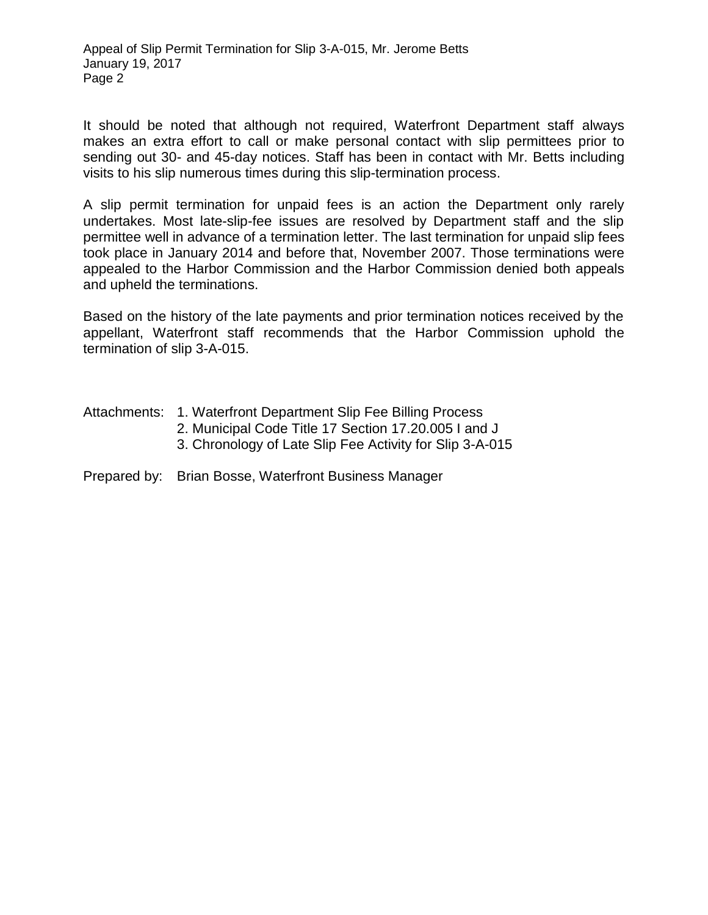It should be noted that although not required, Waterfront Department staff always makes an extra effort to call or make personal contact with slip permittees prior to sending out 30- and 45-day notices. Staff has been in contact with Mr. Betts including visits to his slip numerous times during this slip-termination process.

A slip permit termination for unpaid fees is an action the Department only rarely undertakes. Most late-slip-fee issues are resolved by Department staff and the slip permittee well in advance of a termination letter. The last termination for unpaid slip fees took place in January 2014 and before that, November 2007. Those terminations were appealed to the Harbor Commission and the Harbor Commission denied both appeals and upheld the terminations.

Based on the history of the late payments and prior termination notices received by the appellant, Waterfront staff recommends that the Harbor Commission uphold the termination of slip 3-A-015.

|  | Attachments: 1. Waterfront Department Slip Fee Billing Process |
|--|----------------------------------------------------------------|
|--|----------------------------------------------------------------|

- 2. Municipal Code Title 17 Section 17.20.005 I and J
- 3. Chronology of Late Slip Fee Activity for Slip 3-A-015

#### Prepared by: Brian Bosse, Waterfront Business Manager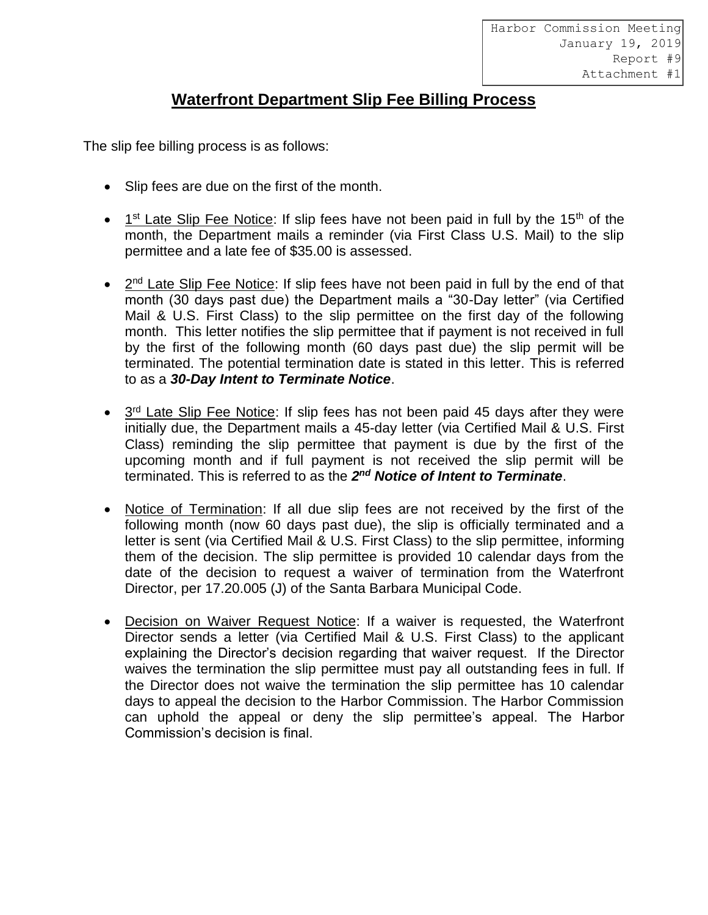Harbor Commission Meeting January 19, 2019 Report #9 Attachment #1

# **Waterfront Department Slip Fee Billing Process**

The slip fee billing process is as follows:

- Slip fees are due on the first of the month.
- $\bullet$  1<sup>st</sup> Late Slip Fee Notice: If slip fees have not been paid in full by the 15<sup>th</sup> of the month, the Department mails a reminder (via First Class U.S. Mail) to the slip permittee and a late fee of \$35.00 is assessed.
- 2<sup>nd</sup> Late Slip Fee Notice: If slip fees have not been paid in full by the end of that month (30 days past due) the Department mails a "30-Day letter" (via Certified Mail & U.S. First Class) to the slip permittee on the first day of the following month. This letter notifies the slip permittee that if payment is not received in full by the first of the following month (60 days past due) the slip permit will be terminated. The potential termination date is stated in this letter. This is referred to as a *30-Day Intent to Terminate Notice*.
- 3<sup>rd</sup> Late Slip Fee Notice: If slip fees has not been paid 45 days after they were initially due, the Department mails a 45-day letter (via Certified Mail & U.S. First Class) reminding the slip permittee that payment is due by the first of the upcoming month and if full payment is not received the slip permit will be terminated. This is referred to as the 2<sup>nd</sup> Notice of Intent to Terminate.
- Notice of Termination: If all due slip fees are not received by the first of the following month (now 60 days past due), the slip is officially terminated and a letter is sent (via Certified Mail & U.S. First Class) to the slip permittee, informing them of the decision. The slip permittee is provided 10 calendar days from the date of the decision to request a waiver of termination from the Waterfront Director, per 17.20.005 (J) of the Santa Barbara Municipal Code.
- Decision on Waiver Request Notice: If a waiver is requested, the Waterfront Director sends a letter (via Certified Mail & U.S. First Class) to the applicant explaining the Director's decision regarding that waiver request. If the Director waives the termination the slip permittee must pay all outstanding fees in full. If the Director does not waive the termination the slip permittee has 10 calendar days to appeal the decision to the Harbor Commission. The Harbor Commission can uphold the appeal or deny the slip permittee's appeal. The Harbor Commission's decision is final.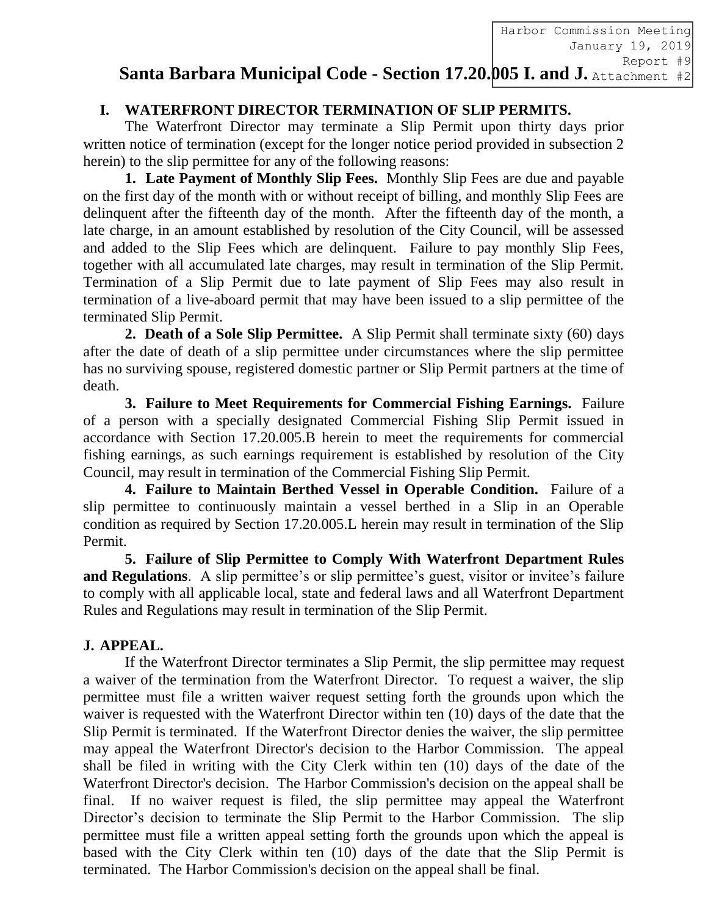**Santa Barbara Municipal Code - Section 17.20.005 I. and J.** Attachment #2Harbor Commission Meeting January 19, 2019 Report #9

## **I. WATERFRONT DIRECTOR TERMINATION OF SLIP PERMITS.**

The Waterfront Director may terminate a Slip Permit upon thirty days prior written notice of termination (except for the longer notice period provided in subsection 2 herein) to the slip permittee for any of the following reasons:

**1. Late Payment of Monthly Slip Fees.** Monthly Slip Fees are due and payable on the first day of the month with or without receipt of billing, and monthly Slip Fees are delinquent after the fifteenth day of the month. After the fifteenth day of the month, a late charge, in an amount established by resolution of the City Council, will be assessed and added to the Slip Fees which are delinquent. Failure to pay monthly Slip Fees, together with all accumulated late charges, may result in termination of the Slip Permit. Termination of a Slip Permit due to late payment of Slip Fees may also result in termination of a live-aboard permit that may have been issued to a slip permittee of the terminated Slip Permit.

**2. Death of a Sole Slip Permittee.** A Slip Permit shall terminate sixty (60) days after the date of death of a slip permittee under circumstances where the slip permittee has no surviving spouse, registered domestic partner or Slip Permit partners at the time of death.

**3. Failure to Meet Requirements for Commercial Fishing Earnings.** Failure of a person with a specially designated Commercial Fishing Slip Permit issued in accordance with Section 17.20.005.B herein to meet the requirements for commercial fishing earnings, as such earnings requirement is established by resolution of the City Council, may result in termination of the Commercial Fishing Slip Permit.

**4. Failure to Maintain Berthed Vessel in Operable Condition.** Failure of a slip permittee to continuously maintain a vessel berthed in a Slip in an Operable condition as required by Section 17.20.005.L herein may result in termination of the Slip Permit.

**5. Failure of Slip Permittee to Comply With Waterfront Department Rules**  and Regulations. A slip permittee's or slip permittee's guest, visitor or invitee's failure to comply with all applicable local, state and federal laws and all Waterfront Department Rules and Regulations may result in termination of the Slip Permit.

### **J. APPEAL.**

If the Waterfront Director terminates a Slip Permit, the slip permittee may request a waiver of the termination from the Waterfront Director. To request a waiver, the slip permittee must file a written waiver request setting forth the grounds upon which the waiver is requested with the Waterfront Director within ten (10) days of the date that the Slip Permit is terminated. If the Waterfront Director denies the waiver, the slip permittee may appeal the Waterfront Director's decision to the Harbor Commission. The appeal shall be filed in writing with the City Clerk within ten (10) days of the date of the Waterfront Director's decision. The Harbor Commission's decision on the appeal shall be final. If no waiver request is filed, the slip permittee may appeal the Waterfront Director's decision to terminate the Slip Permit to the Harbor Commission. The slip permittee must file a written appeal setting forth the grounds upon which the appeal is based with the City Clerk within ten (10) days of the date that the Slip Permit is terminated. The Harbor Commission's decision on the appeal shall be final.